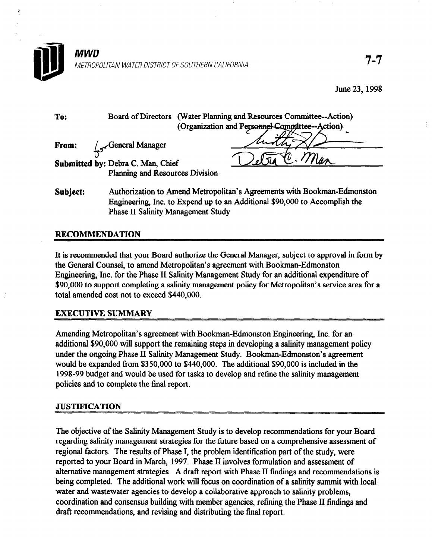

| <b>Board of Directors</b><br>To:<br>(Organization and Personnel Committee--Action) | (Water Planning and Resources Committee--Action) |  |  |
|------------------------------------------------------------------------------------|--------------------------------------------------|--|--|
| General Manager<br>From:                                                           |                                                  |  |  |
| Submitted by: Debra C. Man, Chief                                                  |                                                  |  |  |
| <b>Planning and Resources Division</b>                                             |                                                  |  |  |

Subject: Authorization to Amend Metropolitan's Agreements with Bookman-Edmonston Engineering, Inc. to Expend up to an Additional \$90,000 to Accomplish the Phase II Salinity Management Study

# RECOMMENDATION

It is recommended that your Board authorize the General Manager, subject to approval in form by the General Counsel, to amend Metropolitan's agreement with Bookman-Edmonston Engineering, Inc. for the Phase II Salinity Management Study for an additional expenditure of \$90,000 to support completing a salinity management policy for Metropolitan's service area for a total amended cost not to exceed \$440,000.

# EXECUTIVE SUMMARY

Amending Metropolitan's agreement with Bookman-Edmonston Engineering, Inc. for an additional \$90,000 will support the remaining steps in developing a salinity management policy under the ongoing Phase II Salinity Management Study. Bookman-Edmonston's agreement would be expanded from \$350,000 to \$440,000. The additional \$90,000 is included in the 1998-99 budget and would be used for tasks to develop and refine the salinity management policies and to complete the final report.

### JUSTIFICATION

The objective of the Salinity Management Study is to develop recommendations for your Board regarding salinity management strategies for the future based on a comprehensive assessment of regional factors. The results of Phase I, the problem identification part of the study, were reported to your Board in March, 1997. Phase II involves formulation and assessment of alternative management strategies. A draft report with Phase II findings and recommendations is being completed. The additional work will focus on coordination of a salinity summit with local water and wastewater agencies to develop a collaborative approach to salinity problems, coordination and consensus building with member agencies, refining the Phase II findings and draft recommendations, and revising and distributing the final report.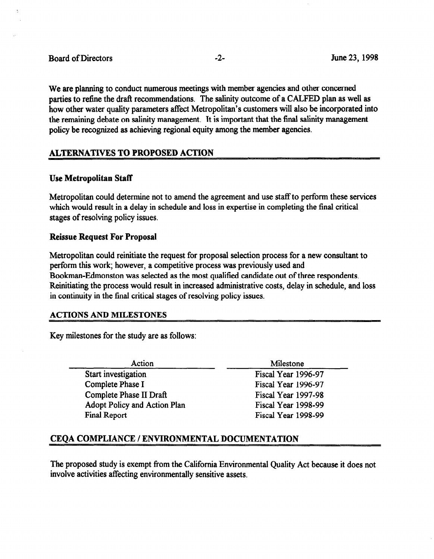We are planning to conduct numerous meetings with member agencies and other concerned parties to refine the draft recommendations. The salinity outcome of a CALFED plan as well as how other water quality parameters affect Metropolitan's customers will also be incorporated into the remaining debate on salinity management. It is important that the final salinity management policy be recognized as achieving regional equity among the member agencies.

# ALTERNATIVES TO PROPOSED ACTION

### Use Metropolitan Staff

Metropolitan could determine not to amend the agreement and use staff to perform these services which would result in a delay in schedule and loss in expertise in completing the final critical stages of resolving policy issues.

### Reissue Request For Proposal

Metropolitan could reinitiate the request for proposal selection process for a new consultant to perform this work; however, a competitive process was previously used and Bookman-Edmonston was selected as the most qualified candidate out of three respondents.  $R_{\text{E}}$  increased and process would result in increased administrative control increased and loss  $\mu$ in continuity in the final state of result in the case administrative of resolutions of resolving policy is a stage of the stage of the stages of the stages of the stages of the stages of the stages of the stages of the st

### ACTIONS AND MILESTONES

Key milestones for the study are as follows:

 $\overline{\phantom{a}}$  $\overline{\phantom{a}}$ Start investigation Complete Phase I Complete Phase II Draft Adopt Policy and Action Plan **Final Report** 

<u>Milestone</u> Fiscal Year 1996-97 Fiscal Year 1996-97 Fiscal Year 1997-98 Fiscal Year 1998-99 Fiscal Year 1998-99

# CEQA COMPLIANCE / ENVIRONMENTAL DOCUMENTATION

The proposed study is exempt from the California Environmental Quality Act because it does not involve activities affecting environmentally sensitive assets.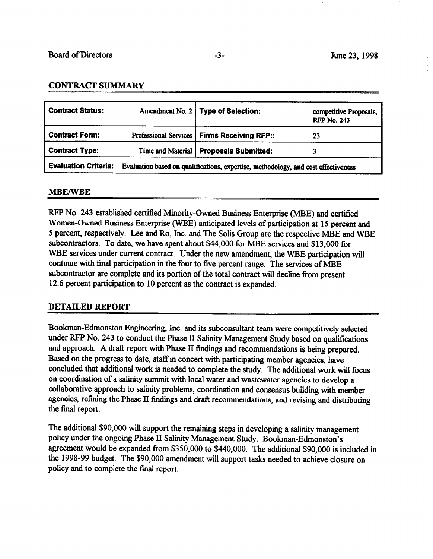#### CONTRACT SUMMARY

| <b>Contract Status:</b>                                                                                           |  | Amendment No. 2   Type of Selection:          | competitive Proposals,<br><b>RFP No. 243</b> |
|-------------------------------------------------------------------------------------------------------------------|--|-----------------------------------------------|----------------------------------------------|
| <b>Contract Form:</b>                                                                                             |  | Professional Services   Firms Receiving RFP:: | 23                                           |
| <b>Contract Type:</b>                                                                                             |  | Time and Material   Proposals Submitted:      |                                              |
| <b>Evaluation Criteria:</b><br>Evaluation based on qualifications, expertise, methodology, and cost effectiveness |  |                                               |                                              |

#### **MBE/WBE**

RFP No. 243 established certified Minority-Owned Business Enterprise (MBE) and certified Women-Owned Business Enterprise (WBE) anticipated levels of participation at 15 percent and 5 percent, respectively. Lee and Ro, Inc. and The Solis Group are the respective MBE and WBE subcontractors. To date, we have spent about \$44,000 for MBE services and \$13,000 for WBE services under current contract. Under the new amendment, the WBE participation will continue with final participation in the four to five percent range. The services of MBE subcontractor are complete and its portion of the total contract will decline from present 12.6 percent participation to 10 percent as the contract is expanded.

#### DETAILED REPORT

Bookman-Edmonston Engineering, Inc. and its subconsultant team were competitively selected under RPP No. 243 to conduct the Phase II Salinity Management Study based on qualifications and approach. A draft report with Phase II findings and recommendations is being prepared. Based on the progress to date, staff in concert with participating member agencies, have concluded that additional work is needed to complete the study. The additional work will focus on coordination of a salinity summit with local water and wastewater agencies to develop a collaborative approach to salinity problems, coordination and consensus building with member agencies, refining the Phase II findings and draft recommendations, and revising and distributing the final report.

The additional \$90,000 will support the remaining steps in developing a salinity management policy under the ongoing Phase II Salinity Management Study. Bookman-Edmonston's agreement would be expanded from \$350,000 to \$440,000. The additional \$90,000 is included in the 1998-99 budget. The \$90,000 amendment will support tasks needed to achieve closure on policy and to complete the final report.